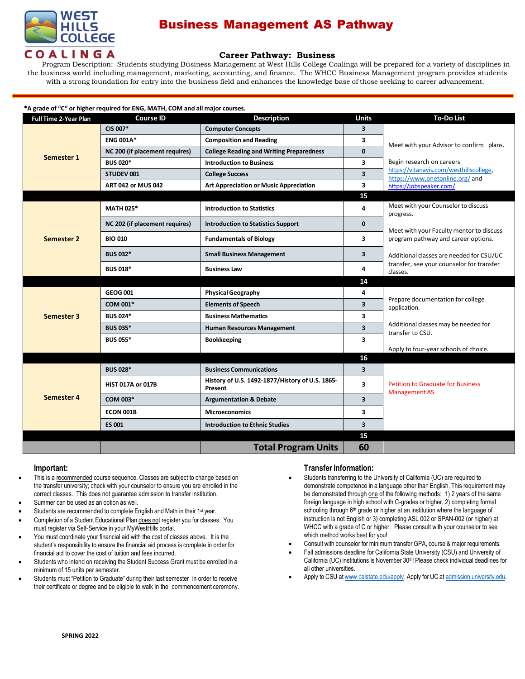

# Business Management AS Pathway

## **Career Pathway: Business**

Program Description: Students studying Business Management at West Hills College Coalinga will be prepared for a variety of disciplines in the business world including management, marketing, accounting, and finance. The WHCC Business Management program provides students with a strong foundation for entry into the business field and enhances the knowledge base of those seeking to career advancement.

### **\*A grade of "C" or higher required for ENG, MATH, COM and all major courses.**

| <b>Full Time 2-Year Plan</b> | <b>Course ID</b>               | <b>Description</b>                                         | <b>Units</b>            | <b>To-Do List</b>                                                                                 |
|------------------------------|--------------------------------|------------------------------------------------------------|-------------------------|---------------------------------------------------------------------------------------------------|
| Semester 1                   | CIS 007*                       | <b>Computer Concepts</b>                                   | 3                       |                                                                                                   |
|                              | <b>ENG 001A*</b>               | <b>Composition and Reading</b>                             | 3                       | Meet with your Advisor to confirm plans.                                                          |
|                              | NC 200 (if placement requires) | <b>College Reading and Writing Preparedness</b>            | $\mathbf{0}$            |                                                                                                   |
|                              | <b>BUS 020*</b>                | <b>Introduction to Business</b>                            | 3                       | Begin research on careers                                                                         |
|                              | STUDEV 001                     | <b>College Success</b>                                     | 3                       | https://vitanavis.com/westhillscollege,<br>https://www.onetonline.org/ and                        |
|                              | <b>ART 042 or MUS 042</b>      | <b>Art Appreciation or Music Appreciation</b>              | 3                       | https://jobspeaker.com/.                                                                          |
|                              |                                |                                                            | 15                      |                                                                                                   |
| <b>Semester 2</b>            | <b>MATH 025*</b>               | <b>Introduction to Statistics</b>                          | 4                       | Meet with your Counselor to discuss<br>progress.                                                  |
|                              | NC 202 (if placement requires) | <b>Introduction to Statistics Support</b>                  | $\mathbf{0}$            | Meet with your Faculty mentor to discuss                                                          |
|                              | <b>BIO 010</b>                 | <b>Fundamentals of Biology</b>                             | 3                       | program pathway and career options.                                                               |
|                              | <b>BUS 032*</b>                | <b>Small Business Management</b>                           | $\overline{\mathbf{3}}$ | Additional classes are needed for CSU/UC<br>transfer, see your counselor for transfer<br>classes. |
|                              | <b>BUS 018*</b>                | <b>Business Law</b>                                        | 4                       |                                                                                                   |
|                              |                                |                                                            | 14                      |                                                                                                   |
|                              | <b>GEOG 001</b>                | <b>Physical Geography</b>                                  | 4                       | Prepare documentation for college<br>application.                                                 |
|                              | COM 001*                       | <b>Elements of Speech</b>                                  | 3                       |                                                                                                   |
| Semester 3                   | <b>BUS 024*</b>                | <b>Business Mathematics</b>                                | 3                       |                                                                                                   |
|                              | <b>BUS 035*</b>                | <b>Human Resources Management</b>                          | 3                       | Additional classes may be needed for<br>transfer to CSU.                                          |
|                              | <b>BUS 055*</b>                | <b>Bookkeeping</b>                                         | 3                       |                                                                                                   |
|                              |                                |                                                            |                         | Apply to four-year schools of choice.                                                             |
|                              |                                |                                                            | 16                      |                                                                                                   |
| Semester 4                   | <b>BUS 028*</b>                | <b>Business Communications</b>                             | $\overline{\mathbf{3}}$ |                                                                                                   |
|                              | <b>HIST 017A or 017B</b>       | History of U.S. 1492-1877/History of U.S. 1865-<br>Present | 3                       | <b>Petition to Graduate for Business</b><br>Management AS.                                        |
|                              | COM 003*                       | <b>Argumentation &amp; Debate</b>                          | $\overline{\mathbf{3}}$ |                                                                                                   |
|                              | ECON 001B                      | <b>Microeconomics</b>                                      | 3                       |                                                                                                   |
|                              | <b>ES 001</b>                  | <b>Introduction to Ethnic Studies</b>                      | $\overline{\mathbf{3}}$ |                                                                                                   |
|                              |                                |                                                            | 15                      |                                                                                                   |
|                              |                                | <b>Total Program Units</b>                                 | 60                      |                                                                                                   |

#### **Important:**

- This is a recommended course sequence. Classes are subject to change based on the transfer university; check with your counselor to ensure you are enrolled in the correct classes. This does not guarantee admission to transfer institution.
- Summer can be used as an option as well.
- Students are recommended to complete English and Math in their 1<sup>st</sup> year.
- Completion of a Student Educational Plan does not register you for classes. You must register via Self-Service in your MyWestHills portal.
- You must coordinate your financial aid with the cost of classes above. It is the student's responsibility to ensure the financial aid process is complete in order for financial aid to cover the cost of tuition and fees incurred.
- Students who intend on receiving the Student Success Grant must be enrolled in a minimum of 15 units per semester.
- Students must "Petition to Graduate" during their last semester in order to receive their certificate or degree and be eligible to walk in the commencement ceremony.

### **Transfer Information:**

- Students transferring to the University of California (UC) are required to demonstrate competence in a language other than English. This requirement may be demonstrated through one of the following methods: 1) 2 years of the same foreign language in high school with C-grades or higher, 2) completing formal schooling through 6<sup>th</sup> grade or higher at an institution where the language of instruction is not English or 3) completing ASL 002 or SPAN-002 (or higher) at WHCC with a grade of C or higher. Please consult with your counselor to see which method works best for you!
- Consult with counselor for minimum transfer GPA, course & major requirements.
- Fall admissions deadline for California State University (CSU) and University of California (UC) institutions is November 30<sup>th</sup>! Please check individual deadlines for all other universities.
- Apply to CSU at [www.calstate.edu/apply.](http://www.calstate.edu/apply) Apply for UC at [admission.university.edu.](http://www.apply.universityofcalifornia.edu/)